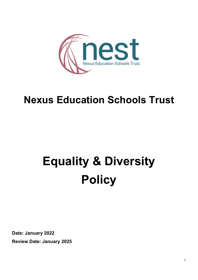

## **Nexus Education Schools Trust**

# **Equality & Diversity Policy**

**Date: January 2022 Review Date: January 2025**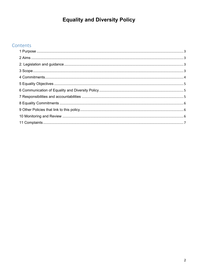### **Equality and Diversity Policy**

#### Contents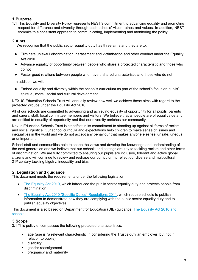#### <span id="page-2-0"></span>**1 Purpose**

1.1 This Equality and Diversity Policy represents NEST's commitment to advancing equality and promoting respect for difference and diversity through each schools' vision, ethos and values. In addition, NEST commits to a consistent approach to communicating, implementing and monitoring the policy.

#### <span id="page-2-1"></span>**2 Aims**

We recognise that the public sector equality duty has three aims and they are to:

- Eliminate unlawful discrimination, harassment and victimisation and other conduct under the Equality Act 2010
- Advance equality of opportunity between people who share a protected characteristic and those who do not
- Foster good relations between people who have a shared characteristic and those who do not

In addition we will:

● Embed equality and diversity within the school's curriculum as part of the school's focus on pupils' spiritual, moral, social and cultural development

NEXUS Education Schools Trust will annually review how well we achieve these aims with regard to the protected groups under the Equality Act 2010.

All of our schools are committed to advancing and achieving equality of opportunity for all pupils, parents and carers, staff, local committee members and visitors. We believe that all people are of equal value and are entitled to equality of opportunity and that our diversity enriches our community.

Nexus Education Schools Trust is steadfast in its commitment to standing up against all forms of racism and social injustice. Our school curricula and expectations help children to make sense of issues and inequalities in the world and we do not accept any behaviour that makes anyone else feel unsafe, unequal or unimportant.

School staff and communities help to shape the views and develop the knowledge and understanding of the next generation and we believe that our schools and settings are key to tackling racism and other forms of discrimination. We are fully committed to ensuring our pupils are inclusive, tolerant and active global citizens and will continue to review and reshape our curriculum to reflect our diverse and multicultural 21<sup>st</sup> century tackling bigotry, inequality and bias.

#### <span id="page-2-2"></span>**2. Legislation and guidance**

This document meets the requirements under the following legislation:

- [The Equality Act 2010,](http://www.legislation.gov.uk/ukpga/2010/15/contents) which introduced the public sector equality duty and protects people from discrimination
- [The Equality Act 2010 \(Specific Duties\) Regulations 2011,](http://www.legislation.gov.uk/uksi/2011/2260/contents/made) which require schools to publish information to demonstrate how they are complying with the public sector equality duty and to publish equality objectives

This document is also based on Department for Education (DfE) guidance: [The Equality Act 2010 and](https://www.gov.uk/government/uploads/system/uploads/attachment_data/file/315587/Equality_Act_Advice_Final.pdf)  [schools.](https://www.gov.uk/government/uploads/system/uploads/attachment_data/file/315587/Equality_Act_Advice_Final.pdf) 

#### <span id="page-2-3"></span>**3 Scope**

- 3.1 This policy encompasses the following protected characteristics:
	- age (age is "a relevant characteristic in considering the Trust's duty an employer, but not in relation to pupils)
	- disability
	- gender reassignment
	- pregnancy and maternity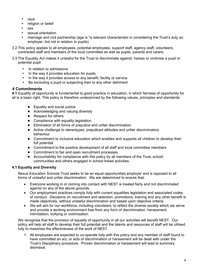- race
- religion or belief
- sex
- sexual orientation
- marriage and civil partnership (age is "a relevant characteristic in considering the Trust's duty an employer, but not in relation to pupils)
- 3.2 This policy applies to all employees, potential employees, support staff, agency staff, volunteers, contracted staff and members of the local committee as well as pupils, parents and carers.
- 3.3 The Equality Act makes it unlawful for the Trust to discriminate against, harass or victimise a pupil or potential pupil:
	- In relation to admissions
	- In the way it provides education for pupils
	- In the way it provides access to any benefit, facility or service
	- Be excluding a pupil or subjecting then to any other detriment

#### <span id="page-3-0"></span>**4 Commitments**

**4.1** Equality of opportunity is fundamental to good practice in education, in which fairness of opportunity for all is a basic right. This policy is therefore underpinned by the following values, principles and standards:

- Equality and social justice
- Acknowledging and valuing diversity
- Respect for others
- Compliance with equality legislation
- Elimination of all forms of prejudice and unfair discrimination
- Active challenge to stereotypes, prejudiced attitudes and unfair discriminatory behaviour
- Commitment to inclusive education which enables and supports all children to develop their full potential
- Commitment to the positive development of all staff and local committee members
- Commitment to fair and open recruitment processes
- Accountability for compliance with this policy by all members of the Trust, school communities and others engaged in school linked activities.

#### **4.1 Equality and Diversity**

Nexus Education Schools Trust seeks to be an equal opportunities employer and is opposed to all forms of unlawful and unfair discrimination. We are determined to ensure that:

- Everyone working in or coming into contact with NEST is treated fairly and not discriminated against on any of the above grounds.
- Our employment practices comply fully with current equalities legislation and associated codes of conduct. Decisions on recruitment and selection, promotions, training and any other benefit is made objectively, without unlawful discrimination and based upon objective criteria.
- We will aim for our workforce, including volunteers, to reflect the diverse society which we serve and provide a working environment free from any form of discrimination, harassment, intimidation, bullying or victimisation.

We recognise that the provision of equality of opportunity in all our activities will benefit NEST. Our policy will help all staff to develop their full potential and the talents and resources of staff will be utilised fully to maximise the effectiveness of the work of NEST.

1. All employees are expected to co-operate fully with this policy and any member of staff found to have committed an act, or acts of discrimination or harassment will be dealt with under the Trust's Disciplinary procedure. Proven discrimination or harassment will lead to summary dismissal.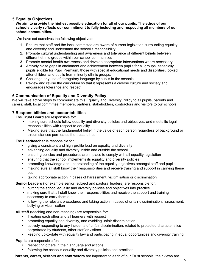#### <span id="page-4-0"></span>**5 Equality Objectives**

**We aim to provide the highest possible education for all of our pupils. The ethos of our schools clearly reflects our commitment to fully including and respecting all members of our school communities.**

We have set ourselves the following objectives:

- 1. Ensure that staff and the local committee are aware of current legislation surrounding equality and diversity and understand the school's responsibility
- 2. Promote cultural understanding and awareness and tolerance of different beliefs between different ethnic groups within our school communities
- 3. Promote mental health awareness and develop appropriate interventions where necessary
- 4. Actively close gaps in attainment and achievement between pupils for all groups; especially pupils eligible for Pupil Premium, those with special educational needs and disabilities, looked after children and pupils from minority ethnic groups.
- 5. Challenge any use of derogatory language by pupils in the schools.
- 6. Review and revise the curriculum so that it represents a diverse culture and society and encourages tolerance and respect.

#### <span id="page-4-1"></span>**6 Communication of Equality and Diversity Policy**

We will take active steps to communicate this Equality and Diversity Policy to all pupils, parents and carers, staff, local committee members, partners, stakeholders, contractors and visitors to our schools.

#### <span id="page-4-2"></span>**7 Responsibilities and accountabilities**

The **Trust Board** are responsible for:

- making sure schools follow equality and diversity policies and objectives, and meets its legal responsibilities with respect to equality
- Making sure that the fundamental belief in the value of each person regardless of background or circumstances permeates the trusts ethos

The **Headteacher** is responsible for:

- giving a consistent and high-profile lead on equality and diversity
- advancing equality and diversity inside and outside the school
- ensuring policies and procedures are in place to comply with all equality legislation
- ensuring that the school implements its equality and diversity policies
- promoting knowledge and understanding of the equality objectives amongst staff and pupils
- making sure all staff know their responsibilities and receive training and support in carrying these out
- taking appropriate action in cases of harassment, vicitimisation or discrimination

**Senior Leaders** (for example senior, subject and pastoral leaders) are responsible for:

- putting the school equality and diversity policies and objectives into practice
- making sure that all staff know their responsibilities and receive the support and training necessary to carry them out
- following the relevant procedures and taking action in cases of unfair discrimination, harassment, bullying or victimisation

**All staff** (teaching and non-teaching) are responsible for:

- Treating each other and all learners with respect
- promoting equality and diversity, and avoiding unfair discrimination
- actively responding to any incidents of unfair discrimination, related to protected characteristics perpetrated by students, other staff or visitors
- keeping up-to-date with equality law and participating in equal opportunities and diversity training

**Pupils** are responsible for:

- respecting others in their language and actions
- following the school's equality and diversity policies and practices

**Parents, carers, visitors and contractors** are important to each of our Trust schools, their views are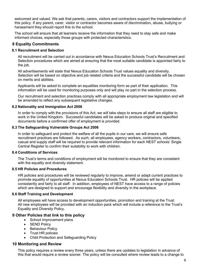welcomed and valued. We ask that parents, carers, visitors and contractors support the implementation of this policy. If any parent, carer, visitor or contractor becomes aware of discrimination, abuse, bullying or harassment they should report this to the school.

The school will ensure that all learners receive the information that they need to stay safe and make informed choices, especially those groups with protected characteristics.

#### <span id="page-5-0"></span>**8 Equality Commitments**

#### **8.1 Recruitment and Selection**

All recruitment will be carried out in accordance with Nexus Education Schools Trust's Recruitment and Selection procedures which are aimed at ensuring that the most suitable candidate is appointed fairly to the job.

All advertisements will state that Nexus Education Schools Trust values equality and diversity. Selection will be based on objective and job related criteria and the successful candidate will be chosen on merits and abilities.

Applicants will be asked to complete an equalities monitoring form as part of their application. This information will be used for monitoring purposes only and will play no part in the selection process.

Our recruitment and selection practices comply with all appropriate employment law legislation and will be amended to reflect any subsequent legislative changes.

#### **8.2 Nationality and Immigration Act 2006**

In order to comply with the provisions of this Act, we will take steps to ensure all staff are eligible to work in the United Kingdom. Successful candidates will be asked to produce original and specified documents before a confirmed offer of employment is provided.

#### **8.3 The Safeguarding Vulnerable Groups Act 2006**

In order to safeguard and protect the welfare of all the pupils in our care, we will ensure safe recruitment practices are followed. As such, all employees, agency workers, contractors, volunteers, casual and supply staff will be required to provide relevant information for each NEST schools' Single Central Register to confirm their suitability to work with children.

#### **8.4 Conditions of Services**

The Trust's terms and conditions of employment will be monitored to ensure that they are consistent with the equality and diversity statement.

#### **8.5 HR Policies and Procedures**

HR policies and procedures will be reviewed regularly to improve, amend or adapt current practices to promote equality of opportunities at Nexus Education Schools Trust. HR policies will be applied consistently and fairly to all staff. In addition, employees of NEST have access to a range of policies which are designed to support and encourage flexibility and diversity in the workplace.

#### **8.6 Staff Training and Development**

All employees will have access to development opportunities, promotion and training at the Trust. All new employees will be provided with an induction pack which will include a reference to the Trust's Equality and Diversity Policy.

#### <span id="page-5-1"></span>**9 Other Policies that link to this policy**

- School improvement plans
- SEND Policy
- Behaviour Policy
- Trust HR policies
- Child Protection and Safeguarding Policy

#### <span id="page-5-2"></span>**10 Monitoring and Review**

This policy requires a review every three years, unless there are updates to legislation in advance of this that would require a review sooner. The policy will be consulted where review leads to a change to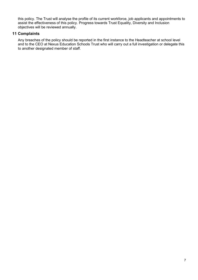this policy. The Trust will analyse the profile of its current workforce, job applicants and appointments to assist the effectiveness of this policy. Progress towards Trust Equality, Diversity and Inclusion objectives will be reviewed annually.

#### <span id="page-6-0"></span>**11 Complaints**

Any breaches of the policy should be reported in the first instance to the Headteacher at school level and to the CEO at Nexus Education Schools Trust who will carry out a full investigation or delegate this to another designated member of staff.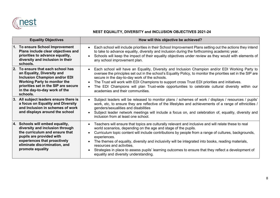

#### **NEST EQUALITY, DIVERSITY and INCLUSION OBJECTIVES 2021-24**

| <b>Equality Objectives</b>                                                                                                                                                                                                             | How will this objective be achieved?                                                                                                                                                                                                                                                                                                                                                                                                                                                                                                                                                |
|----------------------------------------------------------------------------------------------------------------------------------------------------------------------------------------------------------------------------------------|-------------------------------------------------------------------------------------------------------------------------------------------------------------------------------------------------------------------------------------------------------------------------------------------------------------------------------------------------------------------------------------------------------------------------------------------------------------------------------------------------------------------------------------------------------------------------------------|
| 1. To ensure School Improvement<br>Plans include clear objectives and<br>priorities to advance equality,<br>diversity and inclusion in their<br>schools.                                                                               | Each school will include priorities in their School Improvement Plans setting out the actions they intend<br>to take to advance equality, diversity and inclusion during the forthcoming academic year.<br>Schools will keep the impact of their equality objectives under review as they would with elements of<br>any school improvement plan.                                                                                                                                                                                                                                    |
| 2.<br>To ensure that each school has<br>an Equality, Diversity and<br><b>Inclusion Champion and/or EDI</b><br><b>Working Party to monitor the</b><br>priorities set in the SIP are secure<br>in the day-to-day work of the<br>schools. | Each school will have an Equality, Diversity and Inclusion Champion and/or EDI Working Party to<br>oversee the principles set out in the school's Equality Policy, to monitor the priorities set in the SIP are<br>secure in the day-to-day work of the schools.<br>The Trust will work with EDI Champions to support cross Trust EDI priorities and initiatives.<br>The EDI Champions will plan Trust-wide opportunities to celebrate cultural diversity within our<br>academies and their communities.                                                                            |
| 3. All subject leaders ensure there is<br>a focus on Equality and Diversity<br>and Inclusion in schemes of work<br>and displays around the school                                                                                      | Subject leaders will be released to monitor plans / schemes of work / displays / resources / pupils'<br>work, etc, to ensure they are reflective of the lifestyles and achievements of a range of ethnicities /<br>genders/sexualities and disabilities<br>Subject leader network meetings will include a focus on, and celebration of, equality, diversity and<br>inclusion from at least one school.                                                                                                                                                                              |
| 4. Schools will embed equality,<br>diversity and inclusion through<br>the curriculum and ensure that<br>pupils are provided with<br>experiences that proactively<br>eliminate discrimination, and<br>promote equality                  | Teachers will ensure that topics are culturally relevant and inclusive and will relate these to real<br>world scenarios, depending on the age and stage of the pupils.<br>Curriculum topic content will include contributions by people from a range of cultures, backgrounds,<br>experiences.<br>The themes of equality, diversity and inclusivity will be integrated into books, reading materials,<br>resources and activities.<br>Strategies in place to assess pupils' learning outcomes to ensure that they reflect a development of<br>equality and diversity understanding. |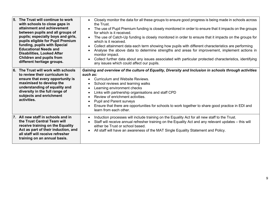**attainment and achievement between pupils and all groups of pupils; especially boys and girls, pupils eligible for Pupil Premium funding, pupils with Special Educational Needs and Disabilities, Looked After Children and pupils from different heritage groups.**  • The use of Pupil Premium funding is closely monitored in order to ensure that it impacts on the groups for which is it received. • The use of Catch-Up funding is closely monitored in order to ensure that it impacts on the groups for which is it received. • Collect attainment data each term showing how pupils with different characteristics are performing • Analyse the above data to determine strengths and areas for improvement, implement actions in monitor impact. • Collect further data about any issues associated with particular protected characteristics, identifying any issues which could affect our pupils. **6. The Trust will work with schools to review their curriculum to ensure that every opportunity is maximised to develop the understanding of equality and diversity in the full range of subjects and enrichment activities.** *Gaining and overview of the culture of Equality, Diversity and Inclusion in schools through activities such as:* • Curriculum and Website Reviews. School reviews and learning walks Learning environment checks • Links with partnership organisations and staff CPD • Review of enrichment activities. • Pupil and Parent surveys • Ensure that there are opportunities for schools to work together to share good practice in EDI and learn from each other. **7. All new staff in schools and in the Trust Central Team will receive training on the Equality Act as part of their induction, and all staff will receive refresher training on an annual basis.** • Induction processes will include training on the Equality Act for all new staff to the Trust. • Staff will receive annual refresher training on the Equality Act and any relevant updates – this will either be Trust or school based. • All staff will have an awareness of the MAT Single Equality Statement and Policy.

the Trust.

• Closely monitor the data for all these groups to ensure good progress is being made in schools across

**5. The Trust will continue to work with schools to close gaps in**